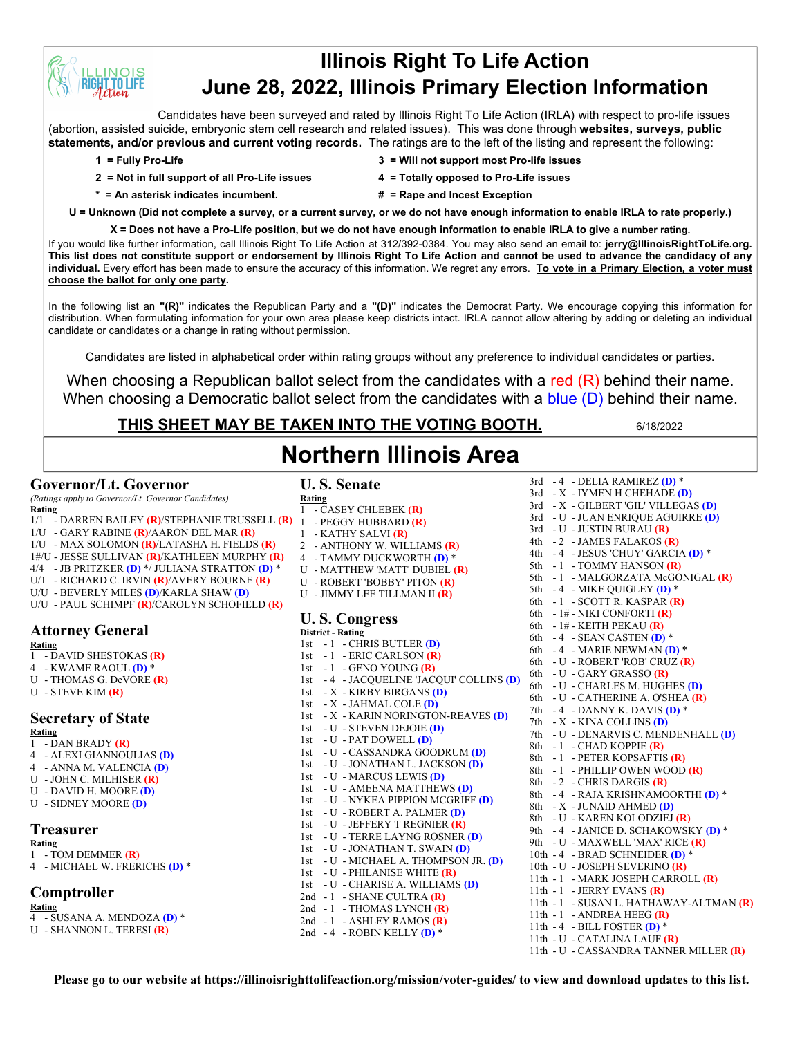# **Illinois Right To Life Action June 28, 2022, Illinois Primary Election Information**

Candidates have been surveyed and rated by Illinois Right To Life Action (IRLA) with respect to pro-life issues (abortion, assisted suicide, embryonic stem cell research and related issues). This was done through **websites, surveys, public statements, and/or previous and current voting records.** The ratings are to the left of the listing and represent the following:

**INOIS T.TO LIFE** 

- **2 = Not in full support of all Pro-Life issues 4 = Totally opposed to Pro-Life issues**
- **1 = Fully Pro-Life 3 = Will not support most Pro-life issues**
	-
- 
- **\* = An asterisk indicates incumbent. # = Rape and Incest Exception**
- **U = Unknown (Did not complete a survey, or a current survey, or we do not have enough information to enable IRLA to rate properly.)**

**X = Does not have a Pro-Life position, but we do not have enough information to enable IRLA to give a number rating.**  If you would like further information, call Illinois Right To Life Action at 312/392-0384. You may also send an email to: **jerry@IllinoisRightToLife.org. This list does not constitute support or endorsement by Illinois Right To Life Action and cannot be used to advance the candidacy of any individual.** Every effort has been made to ensure the accuracy of this information. We regret any errors. **To vote in a Primary Election, a voter must choose the ballot for only one party.**

In the following list an **"(R)"** indicates the Republican Party and a **"(D)"** indicates the Democrat Party. We encourage copying this information for distribution. When formulating information for your own area please keep districts intact. IRLA cannot allow altering by adding or deleting an individual candidate or candidates or a change in rating without permission.

Candidates are listed in alphabetical order within rating groups without any preference to individual candidates or parties.

When choosing a Republican ballot select from the candidates with a red  $(R)$  behind their name. When choosing a Democratic ballot select from the candidates with a blue (D) behind their name.

**Northern Illinois Area**

# **THIS SHEET MAY BE TAKEN INTO THE VOTING BOOTH.** 6/18/2022

**U. S. Senate**

3rd - 4 - DELIA RAMIREZ **(D)** \*

## **Governor/Lt. Governor**

*(Ratings apply to Governor/Lt. Governor Candidates)*

- **Rating**
- 1/1 DARREN BAILEY **(R)**/STEPHANIE TRUSSELL **(R)** 1 PEGGY HUBBARD **(R)**
- 1/U GARY RABINE **(R)**/AARON DEL MAR **(R)**
- 1/U MAX SOLOMON **(R)**/LATASHA H. FIELDS **(R)**
- 1#/U JESSE SULLIVAN **(R)**/KATHLEEN MURPHY **(R)**
- 4/4 JB PRITZKER **(D)** \*/ JULIANA STRATTON **(D)** \* U/1 - RICHARD C. IRVIN **(R)**/AVERY BOURNE **(R)**
- U/U BEVERLY MILES **(D)**/KARLA SHAW **(D)**
- U/U PAUL SCHIMPF **(R)**/CAROLYN SCHOFIELD **(R)**

# **Attorney General**

**Rating**

- 1 DAVID SHESTOKAS **(R)**
- 4 KWAME RAOUL **(D)** \*
- U THOMAS G. DeVORE **(R)**
- U STEVE KIM **(R)**

## **Secretary of State**

**Rating**

- 1 DAN BRADY **(R)**
- 4 ALEXI GIANNOULIAS **(D)**
- 4 ANNA M. VALENCIA **(D)** U - JOHN C. MILHISER **(R)**
- U DAVID H. MOORE **(D)**
- 
- U SIDNEY MOORE **(D)**

## **Treasurer**

### **Rating**

- 1 TOM DEMMER **(R)**
- 4 MICHAEL W. FRERICHS **(D)** \*

## **Comptroller**

- **Rating**
- 4 SUSANA A. MENDOZA **(D)** \*
- U SHANNON L. TERESI **(R)**

**Rating** 1 - CASEY CHLEBEK **(R)** 1 - KATHY SALVI **(R)** 2 - ANTHONY W. WILLIAMS **(R)** 4 - TAMMY DUCKWORTH **(D)** \* U - MATTHEW 'MATT' DUBIEL **(R)** U - ROBERT 'BOBBY' PITON **(R)** U - JIMMY LEE TILLMAN II **(R) U. S. Congress District - Rating** 1st - 1 - CHRIS BUTLER **(D)** 1st - 1 - ERIC CARLSON **(R)** 1st - 1 - GENO YOUNG **(R)** 1st - 4 - JACQUELINE 'JACQUI' COLLINS **(D)** 1st - X - KIRBY BIRGANS **(D)** 1st - X - JAHMAL COLE **(D)** 1st - X - KARIN NORINGTON-REAVES **(D)** 1st - U - STEVEN DEJOIE **(D)** 1st - U - PAT DOWELL **(D)** 1st - U - CASSANDRA GOODRUM **(D)** 1st - U - JONATHAN L. JACKSON **(D)** 1st - U - MARCUS LEWIS **(D)** 1st - U - AMEENA MATTHEWS **(D)** 1st - U - NYKEA PIPPION MCGRIFF **(D)** 1st - U - ROBERT A. PALMER **(D)** 1st - U - JEFFERY T REGNIER **(R)** 1st - U - TERRE LAYNG ROSNER **(D)** 1st - U - JONATHAN T. SWAIN **(D)** 1st - U - MICHAEL A. THOMPSON JR. **(D)** 1st - U - PHILANISE WHITE **(R)** 1st - U - CHARISE A. WILLIAMS **(D)** 2nd - 1 - SHANE CULTRA **(R)** 2nd - 1 - THOMAS LYNCH (R)

3rd - X - IYMEN H CHEHADE **(D)** 3rd - X - GILBERT 'GIL' VILLEGAS **(D)** 3rd - U - JUAN ENRIQUE AGUIRRE **(D)** 3rd - U - JUSTIN BURAU **(R)** 4th - 2 - JAMES FALAKOS **(R)** 4th - 4 - JESUS 'CHUY' GARCIA **(D)** \* 5th - 1 - TOMMY HANSON **(R)** 5th - 1 - MALGORZATA McGONIGAL **(R)** 5th - 4 - MIKE QUIGLEY **(D)** \* 6th - 1 - SCOTT R. KASPAR **(R)** 6th - 1# - NIKI CONFORTI **(R)** 6th - 1# - KEITH PEKAU **(R)** 6th - 4 - SEAN CASTEN **(D)** \* 6th - 4 - MARIE NEWMAN **(D)** \* 6th - U - ROBERT 'ROB' CRUZ **(R)** 6th - U - GARY GRASSO **(R)** 6th - U - CHARLES M. HUGHES **(D)** 6th - U - CATHERINE A. O'SHEA **(R)** 7th - 4 - DANNY K. DAVIS **(D)** \* 7th - X - KINA COLLINS **(D)** 7th - U - DENARVIS C. MENDENHALL **(D)** 8th - 1 - CHAD KOPPIE **(R)** 8th - 1 - PETER KOPSAFTIS **(R)** 8th - 1 - PHILLIP OWEN WOOD **(R)** 8th - 2 - CHRIS DARGIS **(R)** 8th - 4 - RAJA KRISHNAMOORTHI **(D)** \* 8th - X - JUNAID AHMED **(D)** 8th - U - KAREN KOLODZIEJ **(R)** 9th - 4 - JANICE D. SCHAKOWSKY **(D)** \* 9th - U - MAXWELL 'MAX' RICE **(R)** 10th - 4 - BRAD SCHNEIDER **(D)** \* 10th - U - JOSEPH SEVERINO **(R)** 11th - 1 - MARK JOSEPH CARROLL **(R)** 11th - 1 - JERRY EVANS **(R)** 11th - 1 - SUSAN L. HATHAWAY-ALTMAN **(R)** 11th - 1 - ANDREA HEEG **(R)** 11th - 4 - BILL FOSTER **(D)** \* 11th - U - CATALINA LAUF **(R)** 11th - U - CASSANDRA TANNER MILLER **(R)**

**Please go to our website at https://illinoisrighttolifeaction.org/mission/voter-guides/ to view and download updates to this list.**

2nd - 1 - ASHLEY RAMOS **(R)** 2nd - 4 - ROBIN KELLY **(D)** \*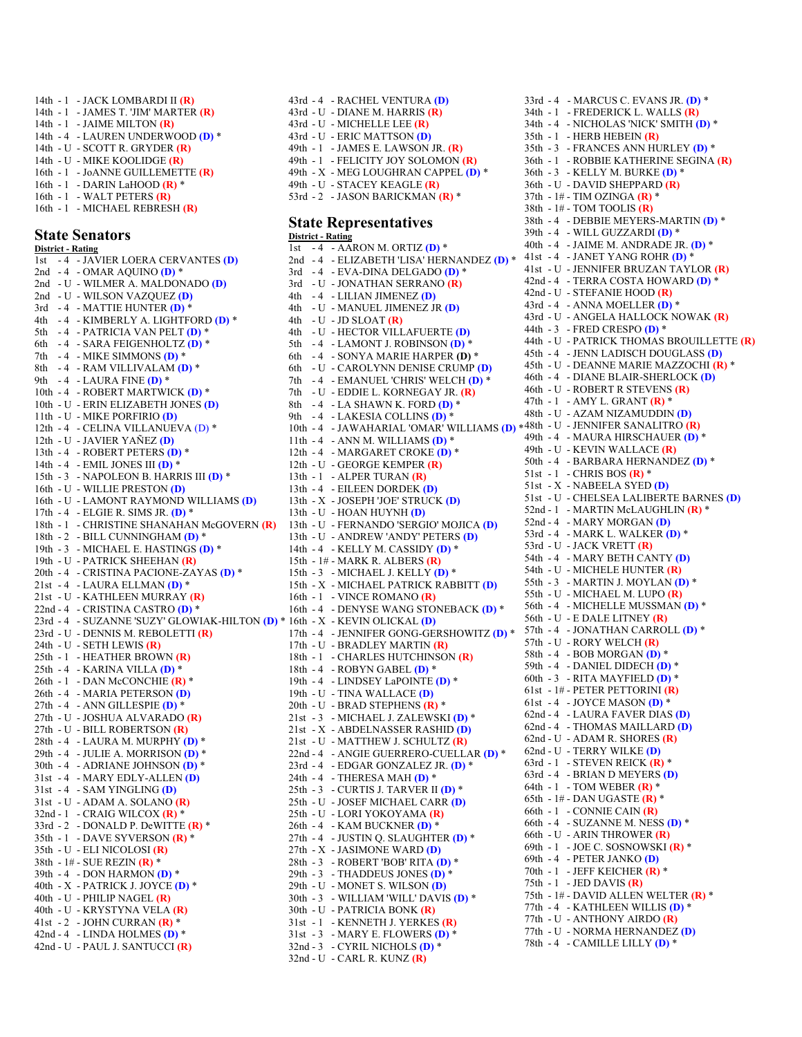14th - 1 - JACK LOMBARDI II **(R)** 14th - 1 - JAMES T. 'JIM' MARTER **(R)** 14th - 1 - JAIME MILTON **(R)** 14th - 4 - LAUREN UNDERWOOD **(D)** \* 14th - U - SCOTT R. GRYDER **(R)** 14th - U - MIKE KOOLIDGE **(R)** 16th - 1 - JoANNE GUILLEMETTE **(R)** 16th - 1 - DARIN LaHOOD **(R)** \* 16th - 1 - WALT PETERS **(R)** 16th - 1 - MICHAEL REBRESH **(R)**

#### **State Senators**

**District - Rating** 1st - 4 - JAVIER LOERA CERVANTES **(D)** 2nd - 4 - OMAR AQUINO **(D)** \* 2nd - U - WILMER A. MALDONADO **(D)** 2nd - U - WILSON VAZQUEZ **(D)** 3rd - 4 - MATTIE HUNTER **(D)** \* 4th - 4 - KIMBERLY A. LIGHTFORD **(D)** \* 5th - 4 - PATRICIA VAN PELT **(D)** \* 6th - 4 - SARA FEIGENHOLTZ **(D)** \* 7th - 4 - MIKE SIMMONS **(D)** \* 8th - 4 - RAM VILLIVALAM **(D)** \* 9th - 4 - LAURA FINE **(D)** \* 10th - 4 - ROBERT MARTWICK **(D)** \* 10th - U - ERIN ELIZABETH JONES **(D)** 11th - U - MIKE PORFIRIO **(D)** 12th - 4 - CELINA VILLANUEVA (D) \* 12th - U - JAVIER YAÑEZ **(D)** 13th - 4 - ROBERT PETERS **(D)** \* 14th - 4 - EMIL JONES III **(D)** \* 15th - 3 - NAPOLEON B. HARRIS III **(D)** \* 16th - U - WILLIE PRESTON **(D)** 16th - U - LAMONT RAYMOND WILLIAMS **(D)** 17th - 4 - ELGIE R. SIMS JR. **(D)** \* 18th - 1 - CHRISTINE SHANAHAN McGOVERN **(R)** 18th - 2 - BILL CUNNINGHAM **(D)** \* 19th - 3 - MICHAEL E. HASTINGS **(D)** \* 19th - U - PATRICK SHEEHAN **(R)** 20th - 4 - CRISTINA PACIONE-ZAYAS **(D)** \* 21st - 4 - LAURA ELLMAN **(D)** \* 21st - U - KATHLEEN MURRAY **(R)** 22nd - 4 - CRISTINA CASTRO **(D)** \* 23rd - 4 - SUZANNE 'SUZY' GLOWIAK-HILTON **(D)** \* 16th - X - KEVIN OLICKAL **(D)** 23rd - U - DENNIS M. REBOLETTI **(R)** 24th - U - SETH LEWIS **(R)** 25th - 1 - HEATHER BROWN **(R)** 25th - 4 - KARINA VILLA **(D)** \* 26th - 1 - DAN McCONCHIE **(R)** \* 26th - 4 - MARIA PETERSON **(D)** 27th - 4 - ANN GILLESPIE **(D)** \* 27th - U - JOSHUA ALVARADO **(R)** 27th - U - BILL ROBERTSON **(R)** 28th - 4 - LAURA M. MURPHY **(D)** \* 29th - 4 - JULIE A. MORRISON **(D)** \* 30th - 4 - ADRIANE JOHNSON **(D)** \* 31st - 4 - MARY EDLY-ALLEN **(D)** 31st - 4 - SAM YINGLING **(D)** 31st - U - ADAM A. SOLANO **(R)** 32nd - 1 - CRAIG WILCOX **(R)** \* 33rd - 2 - DONALD P. DeWITTE **(R)** \* 35th - 1 - DAVE SYVERSON **(R)** \* 35th - U - ELI NICOLOSI **(R)** 38th - 1# - SUE REZIN **(R)** \* 39th - 4 - DON HARMON **(D)** \* 40th - X - PATRICK J. JOYCE **(D)** \* 40th - U - PHILIP NAGEL **(R)** 40th - U - KRYSTYNA VELA **(R)** 41st - 2 - JOHN CURRAN **(R)** \* 42nd - 4 - LINDA HOLMES **(D)** \* 42nd - U - PAUL J. SANTUCCI **(R)**

43rd - U - DIANE M. HARRIS **(R)** 43rd - U - MICHELLE LEE **(R)** 43rd - U - ERIC MATTSON **(D)** 49th - 1 - JAMES E. LAWSON JR. **(R)** 49th - 1 - FELICITY JOY SOLOMON **(R)** 49th - X - MEG LOUGHRAN CAPPEL **(D)** \* 49th - U - STACEY KEAGLE **(R)** 53rd - 2 - JASON BARICKMAN **(R)** \* **State Representatives District - Rating** 1st - 4 - AARON M. ORTIZ **(D)** \* 2nd - 4 - ELIZABETH 'LISA' HERNANDEZ **(D)** \* 3rd - 4 - EVA-DINA DELGADO **(D)** \* 3rd - U - JONATHAN SERRANO **(R)** 4th - 4 - LILIAN JIMENEZ **(D)** 4th - U - MANUEL JIMENEZ JR **(D)** 4th - U - JD SLOAT **(R)** 4th - U - HECTOR VILLAFUERTE **(D)** 5th - 4 - LAMONT J. ROBINSON **(D)** \* 6th - 4 - SONYA MARIE HARPER **(D)** \* 6th - U - CAROLYNN DENISE CRUMP **(D)** 7th - 4 - EMANUEL 'CHRIS' WELCH **(D)** \* 7th - U - EDDIE L. KORNEGAY JR. **(R)** 8th - 4 - LA SHAWN K. FORD **(D)** \* 9th - 4 - LAKESIA COLLINS **(D)** \* 10th - 4 - JAWAHARIAL 'OMAR' WILLIAMS **(D)** \* 11th - 4 - ANN M. WILLIAMS **(D)** \* 12th - 4 - MARGARET CROKE **(D)** \* 12th - U - GEORGE KEMPER **(R)** 13th - 1 - ALPER TURAN **(R)** 13th - 4 - EILEEN DORDEK **(D)** 13th - X - JOSEPH 'JOE' STRUCK **(D)** 13th - U - HOAN HUYNH **(D)** 13th - U - FERNANDO 'SERGIO' MOJICA **(D)** 13th - U - ANDREW 'ANDY' PETERS **(D)** 14th - 4 - KELLY M. CASSIDY **(D)** \* 15th - 1# - MARK R. ALBERS **(R)** 15th - 3 - MICHAEL J. KELLY **(D)** \* 15th - X - MICHAEL PATRICK RABBITT **(D)** 16th - 1 - VINCE ROMANO **(R)** 16th - 4 - DENYSE WANG STONEBACK **(D)** \* 17th - 4 - JENNIFER GONG-GERSHOWITZ **(D)** \* 17th - U - BRADLEY MARTIN **(R)** 18th - 1 - CHARLES HUTCHINSON **(R)** 18th - 4 - ROBYN GABEL **(D)** \* 19th - 4 - LINDSEY LaPOINTE **(D)** \* 19th - U - TINA WALLACE **(D)** 20th - U - BRAD STEPHENS **(R)** \* 21st - 3 - MICHAEL J. ZALEWSKI **(D)** \* 21st - X - ABDELNASSER RASHID **(D)** 21st - U - MATTHEW J. SCHULTZ **(R)** 22nd - 4 - ANGIE GUERRERO-CUELLAR **(D)** \* 23rd - 4 - EDGAR GONZALEZ JR. **(D)** \* 24th - 4 - THERESA MAH **(D)** \* 25th - 3 - CURTIS J. TARVER II **(D)** \* 25th - U - JOSEF MICHAEL CARR **(D)** 25th - U - LORI YOKOYAMA **(R)** 26th - 4 - KAM BUCKNER **(D)** \* 27th - 4 - JUSTIN Q. SLAUGHTER **(D)** \* 27th - X - JASIMONE WARD **(D)** 28th - 3 - ROBERT 'BOB' RITA **(D)** \* 29th - 3 - THADDEUS JONES **(D)** \* 29th - U - MONET S. WILSON **(D)** 30th - 3 - WILLIAM 'WILL' DAVIS **(D)** \* 30th - U - PATRICIA BONK **(R)** 31st - 1 - KENNETH J. YERKES **(R)** 31st - 3 - MARY E. FLOWERS **(D)** \* 32nd - 3 - CYRIL NICHOLS **(D)** \* 32nd - U - CARL R. KUNZ **(R)**

43rd - 4 - RACHEL VENTURA **(D)**

33rd - 4 - MARCUS C. EVANS JR. **(D)** \* 34th - 1 - FREDERICK L. WALLS **(R)** 34th - 4 - NICHOLAS 'NICK' SMITH **(D)** \* 35th - 1 - HERB HEBEIN **(R)** 35th - 3 - FRANCES ANN HURLEY **(D)** \* 36th - 1 - ROBBIE KATHERINE SEGINA **(R)** 36th - 3 - KELLY M. BURKE **(D)** \* 36th - U - DAVID SHEPPARD **(R)** 37th - 1# - TIM OZINGA **(R)** \* 38th - 1# - TOM TOOLIS **(R)** 38th - 4 - DEBBIE MEYERS-MARTIN **(D)** \* 39th - 4 - WILL GUZZARDI **(D)** \* 40th - 4 - JAIME M. ANDRADE JR. **(D)** \* 41st - 4 - JANET YANG ROHR **(D)** \* 41st - U - JENNIFER BRUZAN TAYLOR **(R)** 42nd - 4 - TERRA COSTA HOWARD **(D)** \* 42nd - U - STEFANIE HOOD **(R)** 43rd - 4 - ANNA MOELLER **(D)** \* 43rd - U - ANGELA HALLOCK NOWAK **(R)** 44th - 3 - FRED CRESPO **(D)** \* 44th - U - PATRICK THOMAS BROUILLETTE **(R)** 45th - 4 - JENN LADISCH DOUGLASS **(D)** 45th - U - DEANNE MARIE MAZZOCHI **(R)** \* 46th - 4 - DIANE BLAIR-SHERLOCK **(D)** 46th - U - ROBERT R STEVENS **(R)** 47th - 1 - AMY L. GRANT **(R)** \* 48th - U - AZAM NIZAMUDDIN **(D)** 48th - U - JENNIFER SANALITRO **(R)** 49th - 4 - MAURA HIRSCHAUER **(D)** \* 49th - U - KEVIN WALLACE **(R)** 50th - 4 - BARBARA HERNANDEZ **(D)** \* 51st - 1 - CHRIS BOS **(R)** \* 51st - X - NABEELA SYED **(D)** 51st - U - CHELSEA LALIBERTE BARNES **(D)** 52nd - 1 - MARTIN McLAUGHLIN **(R)** \* 52nd - 4 - MARY MORGAN **(D)** 53rd - 4 - MARK L. WALKER **(D)** \* 53rd - U - JACK VRETT **(R)** 54th - 4 - MARY BETH CANTY **(D)** 54th - U - MICHELE HUNTER **(R)** 55th - 3 - MARTIN J. MOYLAN **(D)** \* 55th - U - MICHAEL M. LUPO **(R)** 56th - 4 - MICHELLE MUSSMAN **(D)** \* 56th - U - E DALE LITNEY **(R)** 57th - 4 - JONATHAN CARROLL **(D)** \* 57th - U - RORY WELCH **(R)** 58th - 4 - BOB MORGAN **(D)** \* 59th - 4 - DANIEL DIDECH **(D)** \* 60th - 3 - RITA MAYFIELD **(D)** \* 61st - 1# - PETER PETTORINI **(R)** 61st - 4 - JOYCE MASON **(D)** \* 62nd - 4 - LAURA FAVER DIAS **(D)** 62nd - 4 - THOMAS MAILLARD **(D)** 62nd - U - ADAM R. SHORES **(R)** 62nd - U - TERRY WILKE **(D)** 63rd - 1 - STEVEN REICK **(R)** \* 63rd - 4 - BRIAN D MEYERS **(D)** 64th - 1 - TOM WEBER **(R)** \* 65th - 1# - DAN UGASTE **(R)** \* 66th - 1 - CONNIE CAIN **(R)** 66th - 4 - SUZANNE M. NESS **(D)** \* 66th - U - ARIN THROWER **(R)** 69th - 1 - JOE C. SOSNOWSKI **(R)** \* 69th - 4 - PETER JANKO **(D)** 70th - 1 - JEFF KEICHER **(R)** \* 75th - 1 - JED DAVIS **(R)** 75th - 1# - DAVID ALLEN WELTER **(R)** \* 77th - 4 - KATHLEEN WILLIS **(D)** \* 77th - U - ANTHONY AIRDO **(R)** 77th - U - NORMA HERNANDEZ **(D)** 78th - 4 - CAMILLE LILLY **(D)** \*